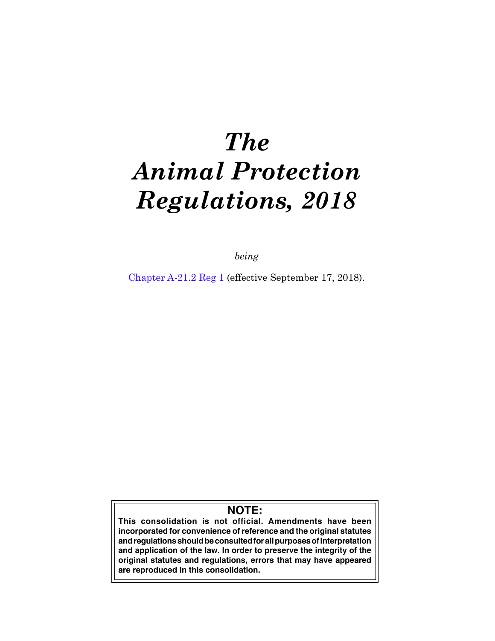# *The Animal Protection Regulations, 2018*

*being*

Chapter A-21.2 Reg 1 (effective September 17, 2018).

## **NOTE:**

**This consolidation is not official. Amendments have been incorporated for convenience of reference and the original statutes and regulations should be consulted for all purposes of interpretation and application of the law. In order to preserve the integrity of the original statutes and regulations, errors that may have appeared are reproduced in this consolidation.**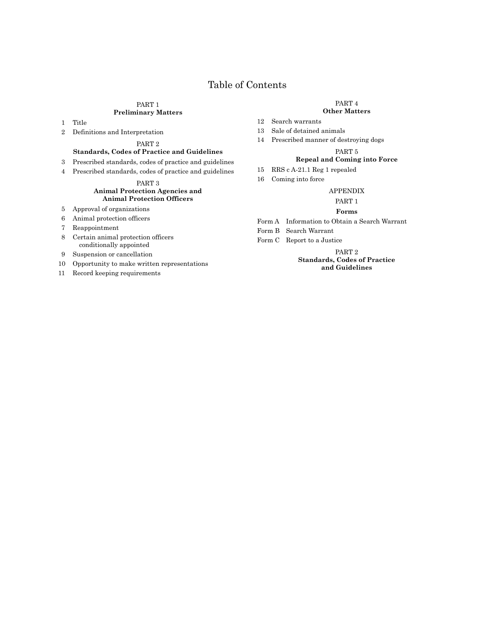### Table of Contents

#### [PART 1](#page-2-0)

#### **[Preliminary Matters](#page-2-0)**

1 [Title](#page-2-0)

2 [Definitions and Interpretation](#page-2-0)

### [PART 2](#page-2-0)

#### **[Standards, Codes of Practice and Guidelines](#page-2-0)**

- 3 [Prescribed standards, codes of practice and guidelines](#page-2-0)
- 4 [Prescribed standards, codes of practice and guidelines](#page-2-0)

#### [PART 3](#page-2-0) **[Animal Protection Agencies and](#page-2-0)  [Animal Protection Officers](#page-2-0)**

- 5 [Approval of organizations](#page-2-0)
- 6 [Animal protection officers](#page-3-0)
- 7 [Reappointment](#page-4-0)
- 8 [Certain animal protection officers](#page-4-0)  [conditionally appointed](#page-4-0)
- 9 [Suspension or cancellation](#page-5-0)
- 10 [Opportunity to make written representations](#page-6-0)
- 11 [Record keeping requirements](#page-7-0)

### [PART 4](#page-7-0)

#### **[Other Matters](#page-7-0)**

- 12 [Search warrants](#page-7-0)
- 13 [Sale of detained animals](#page-7-0)
- 14 [Prescribed manner of destroying dogs](#page-9-0)

#### [PART 5](#page-9-0)

#### **[Repeal and Coming into Force](#page-9-0)**

- 15 [RRS c A-21.1 Reg 1 repealed](#page-9-0)
- 16 [Coming into force](#page-9-0)

#### [APPENDIX](#page-10-0)

#### [PART 1](#page-10-0)

#### **[Forms](#page-10-0)**

- [Form A](#page-10-0) [Information to Obtain a Search Warrant](#page-10-0)
- Form [B](#page-11-0) [Search Warrant](#page-11-0)
- Form [C](#page-12-0) [Report to a Justice](#page-12-0)

[PART 2](#page-13-0) **[Standards, Codes of Practice](#page-13-0)  [and Guidelines](#page-13-0)**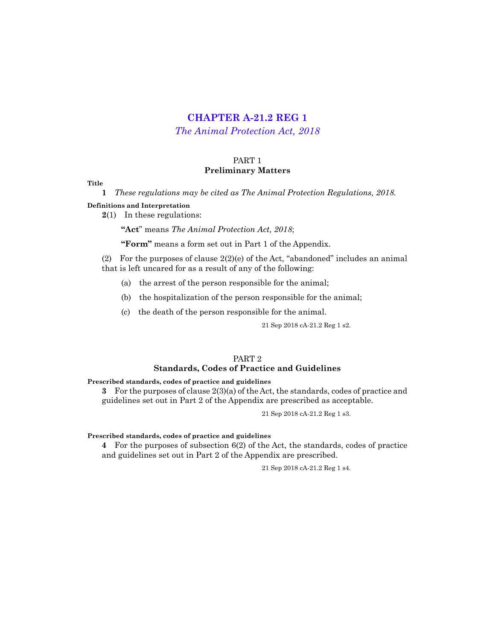## **[CHAPTER A-21.2 REG 1](http://www.publications.gov.sk.ca/freelaw/documents/gazette/part2/2018/G2201838.pdf)**

*[The Animal Protection Act, 2018](http://www.publications.gov.sk.ca/freelaw/documents/English/Statutes/Statutes/A21-1.pdf)*

#### PART 1 **Preliminary Matters**

#### <span id="page-2-0"></span>**Title**

**1** *These regulations may be cited as The Animal Protection Regulations, 2018.*

#### **Definitions and Interpretation**

**2**(1) In these regulations:

**"Act**" means *The Animal Protection Act, 2018*;

**"Form"** means a form set out in Part 1 of the Appendix.

(2) For the purposes of clause  $2(2)(e)$  of the Act, "abandoned" includes an animal that is left uncared for as a result of any of the following:

(a) the arrest of the person responsible for the animal;

(b) the hospitalization of the person responsible for the animal;

(c) the death of the person responsible for the animal.

21 Sep 2018 cA-21.2 Reg 1 s2.

#### PART 2 **Standards, Codes of Practice and Guidelines**

#### **Prescribed standards, codes of practice and guidelines**

**3** For the purposes of clause 2(3)(a) of the Act, the standards, codes of practice and guidelines set out in Part 2 of the Appendix are prescribed as acceptable.

21 Sep 2018 cA-21.2 Reg 1 s3.

#### **Prescribed standards, codes of practice and guidelines**

**4** For the purposes of subsection 6(2) of the Act, the standards, codes of practice and guidelines set out in Part 2 of the Appendix are prescribed.

21 Sep 2018 cA-21.2 Reg 1 s4.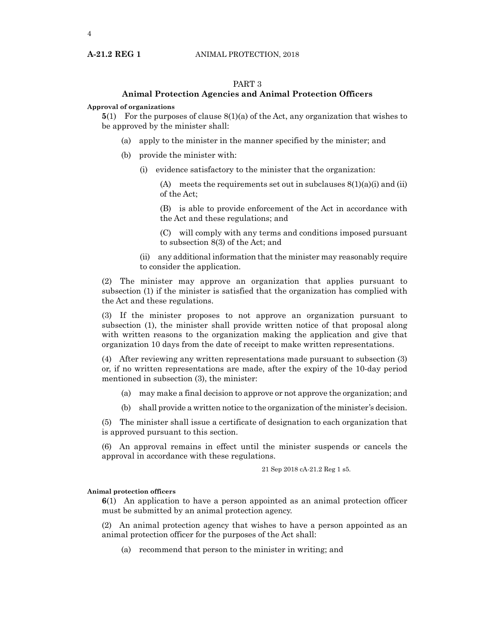#### PART 3

#### **Animal Protection Agencies and Animal Protection Officers**

#### <span id="page-3-0"></span>**Approval of organizations**

**5**(1) For the purposes of clause 8(1)(a) of the Act, any organization that wishes to be approved by the minister shall:

- (a) apply to the minister in the manner specified by the minister; and
- (b) provide the minister with:
	- (i) evidence satisfactory to the minister that the organization:

(A) meets the requirements set out in subclauses  $8(1)(a)(i)$  and (ii) of the Act;

(B) is able to provide enforcement of the Act in accordance with the Act and these regulations; and

(C) will comply with any terms and conditions imposed pursuant to subsection 8(3) of the Act; and

(ii) any additional information that the minister may reasonably require to consider the application.

(2) The minister may approve an organization that applies pursuant to subsection (1) if the minister is satisfied that the organization has complied with the Act and these regulations.

(3) If the minister proposes to not approve an organization pursuant to subsection (1), the minister shall provide written notice of that proposal along with written reasons to the organization making the application and give that organization 10 days from the date of receipt to make written representations.

(4) After reviewing any written representations made pursuant to subsection (3) or, if no written representations are made, after the expiry of the 10-day period mentioned in subsection (3), the minister:

- (a) may make a final decision to approve or not approve the organization; and
- (b) shall provide a written notice to the organization of the minister's decision.

(5) The minister shall issue a certificate of designation to each organization that is approved pursuant to this section.

(6) An approval remains in effect until the minister suspends or cancels the approval in accordance with these regulations.

21 Sep 2018 cA-21.2 Reg 1 s5.

#### **Animal protection officers**

**6**(1) An application to have a person appointed as an animal protection officer must be submitted by an animal protection agency.

(2) An animal protection agency that wishes to have a person appointed as an animal protection officer for the purposes of the Act shall:

(a) recommend that person to the minister in writing; and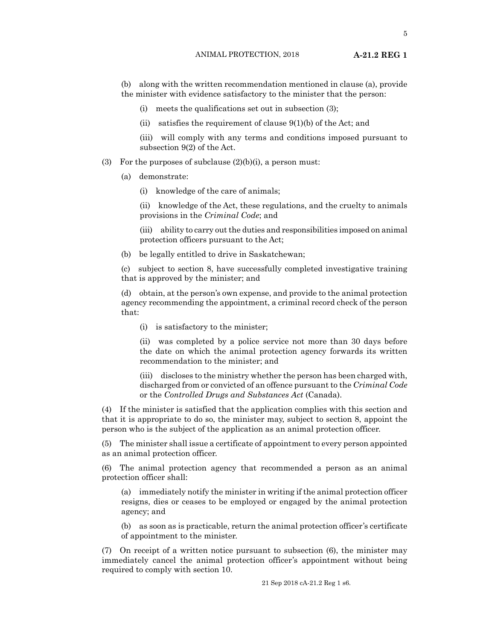<span id="page-4-0"></span>(b) along with the written recommendation mentioned in clause (a), provide the minister with evidence satisfactory to the minister that the person:

- (i) meets the qualifications set out in subsection (3);
- (ii) satisfies the requirement of clause  $9(1)(b)$  of the Act; and
- (iii) will comply with any terms and conditions imposed pursuant to subsection 9(2) of the Act.
- (3) For the purposes of subclause  $(2)(b)(i)$ , a person must:
	- (a) demonstrate:
		- (i) knowledge of the care of animals;

(ii) knowledge of the Act, these regulations, and the cruelty to animals provisions in the *Criminal Code*; and

- (iii) ability to carry out the duties and responsibilities imposed on animal protection officers pursuant to the Act;
- (b) be legally entitled to drive in Saskatchewan;

(c) subject to section 8, have successfully completed investigative training that is approved by the minister; and

(d) obtain, at the person's own expense, and provide to the animal protection agency recommending the appointment, a criminal record check of the person that:

(i) is satisfactory to the minister;

(ii) was completed by a police service not more than 30 days before the date on which the animal protection agency forwards its written recommendation to the minister; and

(iii) discloses to the ministry whether the person has been charged with, discharged from or convicted of an offence pursuant to the *Criminal Code* or the *Controlled Drugs and Substances Act* (Canada).

(4) If the minister is satisfied that the application complies with this section and that it is appropriate to do so, the minister may, subject to section 8, appoint the person who is the subject of the application as an animal protection officer.

(5) The minister shall issue a certificate of appointment to every person appointed as an animal protection officer.

(6) The animal protection agency that recommended a person as an animal protection officer shall:

(a) immediately notify the minister in writing if the animal protection officer resigns, dies or ceases to be employed or engaged by the animal protection agency; and

(b) as soon as is practicable, return the animal protection officer's certificate of appointment to the minister.

(7) On receipt of a written notice pursuant to subsection (6), the minister may immediately cancel the animal protection officer's appointment without being required to comply with section 10.

21 Sep 2018 cA-21.2 Reg 1 s6.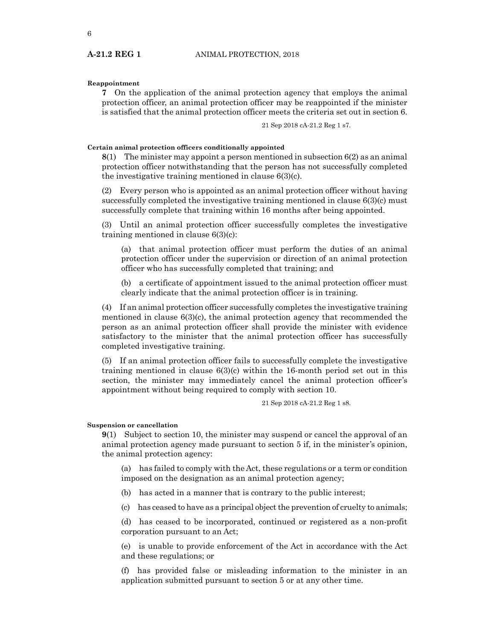#### <span id="page-5-0"></span>**Reappointment**

**7** On the application of the animal protection agency that employs the animal protection officer, an animal protection officer may be reappointed if the minister is satisfied that the animal protection officer meets the criteria set out in section 6.

21 Sep 2018 cA-21.2 Reg 1 s7.

#### **Certain animal protection officers conditionally appointed**

**8**(1) The minister may appoint a person mentioned in subsection 6(2) as an animal protection officer notwithstanding that the person has not successfully completed the investigative training mentioned in clause 6(3)(c).

(2) Every person who is appointed as an animal protection officer without having successfully completed the investigative training mentioned in clause 6(3)(c) must successfully complete that training within 16 months after being appointed.

(3) Until an animal protection officer successfully completes the investigative training mentioned in clause 6(3)(c):

(a) that animal protection officer must perform the duties of an animal protection officer under the supervision or direction of an animal protection officer who has successfully completed that training; and

(b) a certificate of appointment issued to the animal protection officer must clearly indicate that the animal protection officer is in training.

(4) If an animal protection officer successfully completes the investigative training mentioned in clause  $6(3)(c)$ , the animal protection agency that recommended the person as an animal protection officer shall provide the minister with evidence satisfactory to the minister that the animal protection officer has successfully completed investigative training.

(5) If an animal protection officer fails to successfully complete the investigative training mentioned in clause 6(3)(c) within the 16-month period set out in this section, the minister may immediately cancel the animal protection officer's appointment without being required to comply with section 10.

21 Sep 2018 cA-21.2 Reg 1 s8.

#### **Suspension or cancellation**

**9**(1) Subject to section 10, the minister may suspend or cancel the approval of an animal protection agency made pursuant to section 5 if, in the minister's opinion, the animal protection agency:

(a) has failed to comply with the Act, these regulations or a term or condition imposed on the designation as an animal protection agency;

- (b) has acted in a manner that is contrary to the public interest;
- (c) has ceased to have as a principal object the prevention of cruelty to animals;

(d) has ceased to be incorporated, continued or registered as a non-profit corporation pursuant to an Act;

(e) is unable to provide enforcement of the Act in accordance with the Act and these regulations; or

(f) has provided false or misleading information to the minister in an application submitted pursuant to section 5 or at any other time.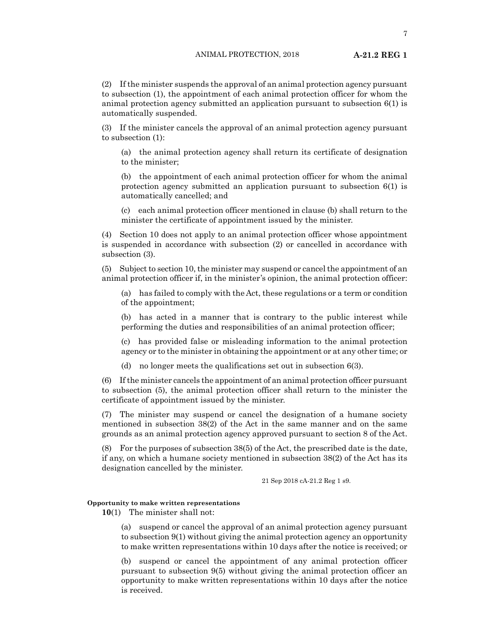<span id="page-6-0"></span>(2) If the minister suspends the approval of an animal protection agency pursuant to subsection (1), the appointment of each animal protection officer for whom the animal protection agency submitted an application pursuant to subsection 6(1) is automatically suspended.

(3) If the minister cancels the approval of an animal protection agency pursuant to subsection (1):

(a) the animal protection agency shall return its certificate of designation to the minister;

(b) the appointment of each animal protection officer for whom the animal protection agency submitted an application pursuant to subsection 6(1) is automatically cancelled; and

(c) each animal protection officer mentioned in clause (b) shall return to the minister the certificate of appointment issued by the minister.

(4) Section 10 does not apply to an animal protection officer whose appointment is suspended in accordance with subsection (2) or cancelled in accordance with subsection (3).

(5) Subject to section 10, the minister may suspend or cancel the appointment of an animal protection officer if, in the minister's opinion, the animal protection officer:

(a) has failed to comply with the Act, these regulations or a term or condition of the appointment;

(b) has acted in a manner that is contrary to the public interest while performing the duties and responsibilities of an animal protection officer;

(c) has provided false or misleading information to the animal protection agency or to the minister in obtaining the appointment or at any other time; or

(d) no longer meets the qualifications set out in subsection 6(3).

(6) If the minister cancels the appointment of an animal protection officer pursuant to subsection (5), the animal protection officer shall return to the minister the certificate of appointment issued by the minister.

(7) The minister may suspend or cancel the designation of a humane society mentioned in subsection 38(2) of the Act in the same manner and on the same grounds as an animal protection agency approved pursuant to section 8 of the Act.

(8) For the purposes of subsection 38(5) of the Act, the prescribed date is the date, if any, on which a humane society mentioned in subsection 38(2) of the Act has its designation cancelled by the minister.

21 Sep 2018 cA-21.2 Reg 1 s9.

#### **Opportunity to make written representations**

**10**(1) The minister shall not:

(a) suspend or cancel the approval of an animal protection agency pursuant to subsection 9(1) without giving the animal protection agency an opportunity to make written representations within 10 days after the notice is received; or

(b) suspend or cancel the appointment of any animal protection officer pursuant to subsection 9(5) without giving the animal protection officer an opportunity to make written representations within 10 days after the notice is received.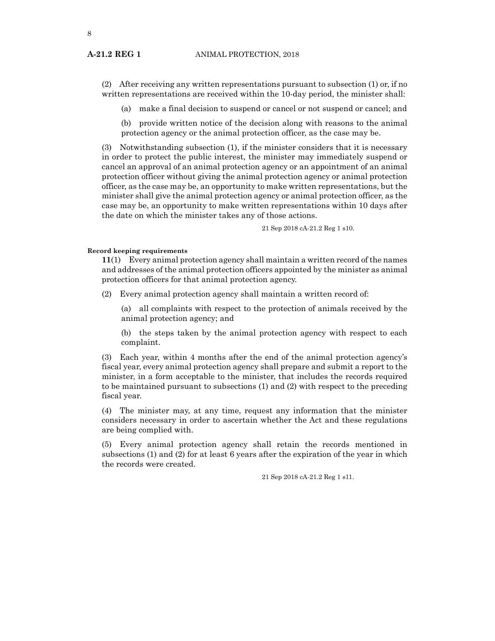<span id="page-7-0"></span>8

(2) After receiving any written representations pursuant to subsection (1) or, if no written representations are received within the 10-day period, the minister shall:

(a) make a final decision to suspend or cancel or not suspend or cancel; and

(b) provide written notice of the decision along with reasons to the animal protection agency or the animal protection officer, as the case may be.

(3) Notwithstanding subsection (1), if the minister considers that it is necessary in order to protect the public interest, the minister may immediately suspend or cancel an approval of an animal protection agency or an appointment of an animal protection officer without giving the animal protection agency or animal protection officer, as the case may be, an opportunity to make written representations, but the minister shall give the animal protection agency or animal protection officer, as the case may be, an opportunity to make written representations within 10 days after the date on which the minister takes any of those actions.

21 Sep 2018 cA-21.2 Reg 1 s10.

#### **Record keeping requirements**

**11**(1) Every animal protection agency shall maintain a written record of the names and addresses of the animal protection officers appointed by the minister as animal protection officers for that animal protection agency.

(2) Every animal protection agency shall maintain a written record of:

(a) all complaints with respect to the protection of animals received by the animal protection agency; and

(b) the steps taken by the animal protection agency with respect to each complaint.

(3) Each year, within 4 months after the end of the animal protection agency's fiscal year, every animal protection agency shall prepare and submit a report to the minister, in a form acceptable to the minister, that includes the records required to be maintained pursuant to subsections (1) and (2) with respect to the preceding fiscal year.

(4) The minister may, at any time, request any information that the minister considers necessary in order to ascertain whether the Act and these regulations are being complied with.

(5) Every animal protection agency shall retain the records mentioned in subsections (1) and (2) for at least 6 years after the expiration of the year in which the records were created.

21 Sep 2018 cA-21.2 Reg 1 s11.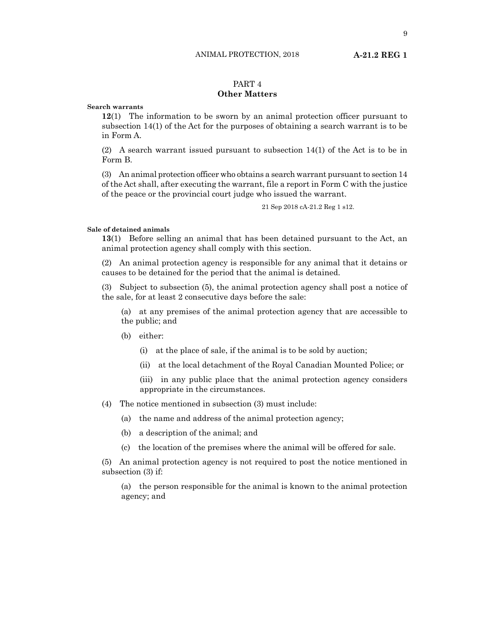## PART 4

#### **Other Matters**

**Search warrants**

**12**(1) The information to be sworn by an animal protection officer pursuant to subsection 14(1) of the Act for the purposes of obtaining a search warrant is to be in Form A.

(2) A search warrant issued pursuant to subsection 14(1) of the Act is to be in Form B.

(3) An animal protection officer who obtains a search warrant pursuant to section 14 of the Act shall, after executing the warrant, file a report in Form C with the justice of the peace or the provincial court judge who issued the warrant.

21 Sep 2018 cA-21.2 Reg 1 s12.

#### **Sale of detained animals**

**13**(1) Before selling an animal that has been detained pursuant to the Act, an animal protection agency shall comply with this section.

(2) An animal protection agency is responsible for any animal that it detains or causes to be detained for the period that the animal is detained.

(3) Subject to subsection (5), the animal protection agency shall post a notice of the sale, for at least 2 consecutive days before the sale:

(a) at any premises of the animal protection agency that are accessible to the public; and

- (b) either:
	- (i) at the place of sale, if the animal is to be sold by auction;
	- (ii) at the local detachment of the Royal Canadian Mounted Police; or

(iii) in any public place that the animal protection agency considers appropriate in the circumstances.

- (4) The notice mentioned in subsection (3) must include:
	- (a) the name and address of the animal protection agency;
	- (b) a description of the animal; and
	- (c) the location of the premises where the animal will be offered for sale.

(5) An animal protection agency is not required to post the notice mentioned in subsection (3) if:

(a) the person responsible for the animal is known to the animal protection agency; and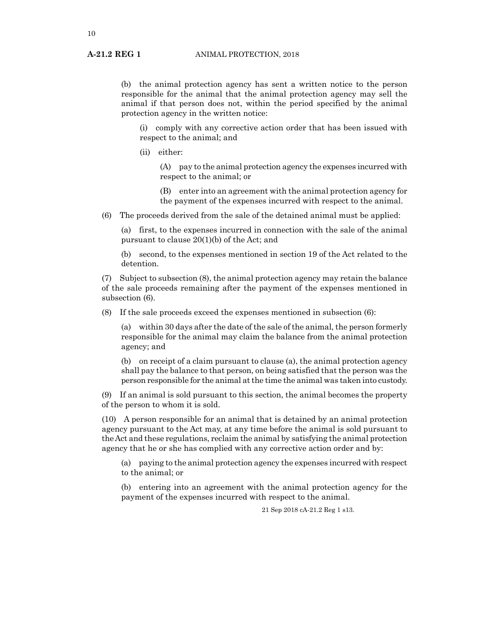<span id="page-9-0"></span>(b) the animal protection agency has sent a written notice to the person responsible for the animal that the animal protection agency may sell the animal if that person does not, within the period specified by the animal protection agency in the written notice:

(i) comply with any corrective action order that has been issued with respect to the animal; and

(ii) either:

(A) pay to the animal protection agency the expenses incurred with respect to the animal; or

(B) enter into an agreement with the animal protection agency for the payment of the expenses incurred with respect to the animal.

(6) The proceeds derived from the sale of the detained animal must be applied:

(a) first, to the expenses incurred in connection with the sale of the animal pursuant to clause 20(1)(b) of the Act; and

(b) second, to the expenses mentioned in section 19 of the Act related to the detention.

(7) Subject to subsection (8), the animal protection agency may retain the balance of the sale proceeds remaining after the payment of the expenses mentioned in subsection (6).

(8) If the sale proceeds exceed the expenses mentioned in subsection (6):

(a) within 30 days after the date of the sale of the animal, the person formerly responsible for the animal may claim the balance from the animal protection agency; and

(b) on receipt of a claim pursuant to clause (a), the animal protection agency shall pay the balance to that person, on being satisfied that the person was the person responsible for the animal at the time the animal was taken into custody.

(9) If an animal is sold pursuant to this section, the animal becomes the property of the person to whom it is sold.

(10) A person responsible for an animal that is detained by an animal protection agency pursuant to the Act may, at any time before the animal is sold pursuant to the Act and these regulations, reclaim the animal by satisfying the animal protection agency that he or she has complied with any corrective action order and by:

(a) paying to the animal protection agency the expenses incurred with respect to the animal; or

(b) entering into an agreement with the animal protection agency for the payment of the expenses incurred with respect to the animal.

21 Sep 2018 cA-21.2 Reg 1 s13.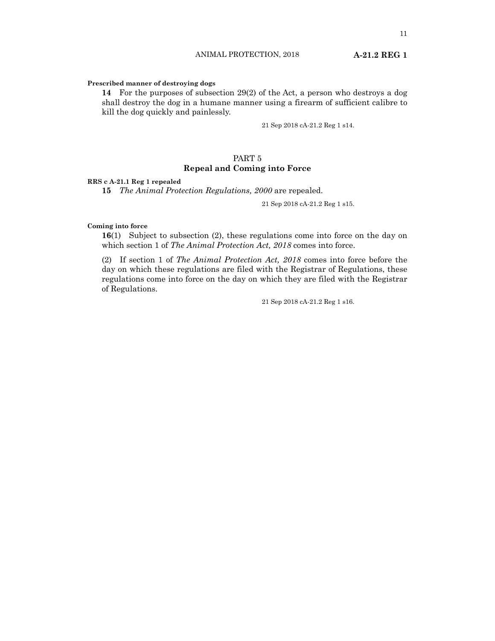#### ANIMAL PROTECTION, 2018 **A-21.2 REG 1**

#### <span id="page-10-0"></span>**Prescribed manner of destroying dogs**

**14** For the purposes of subsection 29(2) of the Act, a person who destroys a dog shall destroy the dog in a humane manner using a firearm of sufficient calibre to kill the dog quickly and painlessly.

21 Sep 2018 cA-21.2 Reg 1 s14.

#### PART 5 **Repeal and Coming into Force**

#### **RRS c A-21.1 Reg 1 repealed**

**15** *The Animal Protection Regulations, 2000* are repealed.

21 Sep 2018 cA-21.2 Reg 1 s15.

#### **Coming into force**

**16**(1) Subject to subsection (2), these regulations come into force on the day on which section 1 of *The Animal Protection Act, 2018* comes into force.

(2) If section 1 of *The Animal Protection Act, 2018* comes into force before the day on which these regulations are filed with the Registrar of Regulations, these regulations come into force on the day on which they are filed with the Registrar of Regulations.

21 Sep 2018 cA-21.2 Reg 1 s16.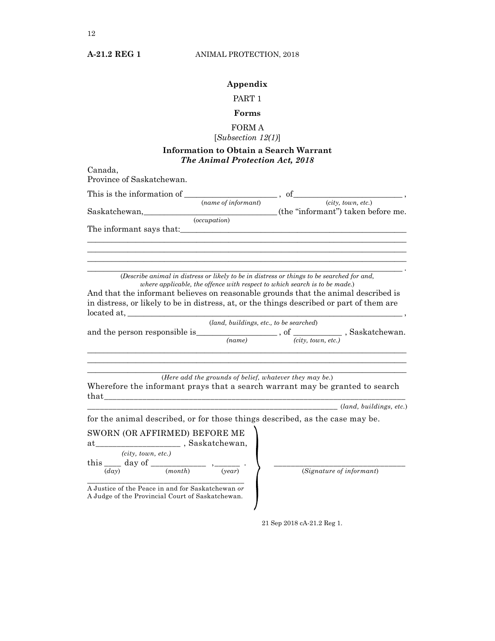### **Appendix**

### PART 1

#### **Forms**

## FORM A

## [*Subsection 12(1)*]

### **Information to Obtain a Search Warrant** *The Animal Protection Act, 2018*

<span id="page-11-0"></span>

| Canada,<br>Province of Saskatchewan.                                                                                                                                     |                                         |
|--------------------------------------------------------------------------------------------------------------------------------------------------------------------------|-----------------------------------------|
| This is the information of $\frac{1}{(name\ of\ information)}$ , of $\frac{1}{(city, town, etc.)}$ ,                                                                     |                                         |
|                                                                                                                                                                          |                                         |
|                                                                                                                                                                          |                                         |
|                                                                                                                                                                          |                                         |
| (Describe animal in distress or likely to be in distress or things to be searched for and,<br>where applicable, the offence with respect to which search is to be made.) |                                         |
| And that the informant believes on reasonable grounds that the animal described is                                                                                       |                                         |
| in distress, or likely to be in distress, at, or the things described or part of them are<br>$located at, \_\_\_\_\_\_$                                                  |                                         |
|                                                                                                                                                                          | (land, buildings, etc., to be searched) |
| and the person responsible is $\frac{(name)}{(name)}$ , of $\frac{city, town, etc.}{city, town, etc.}$ , Saskatchewan.                                                   |                                         |
|                                                                                                                                                                          |                                         |
| (Here add the grounds of belief, whatever they may be.)<br>Wherefore the informant prays that a search warrant may be granted to search                                  |                                         |
|                                                                                                                                                                          | ( <i>land, buildings, etc.</i> )        |
| for the animal described, or for those things described, as the case may be.                                                                                             |                                         |
| SWORN (OR AFFIRMED) BEFORE ME                                                                                                                                            |                                         |
| (city, town, etc.)                                                                                                                                                       |                                         |
| this $\frac{(ctxy, town, etc.)}{(day)}$ $\frac{day \text{ of } (month)}{(month)}$ $\frac{?}{(year)}$ .                                                                   | $(Signature\ of\ information)$          |
| A Justice of the Peace in and for Saskatchewan or<br>A Judge of the Provincial Court of Saskatchewan.                                                                    |                                         |

21 Sep 2018 cA-21.2 Reg 1.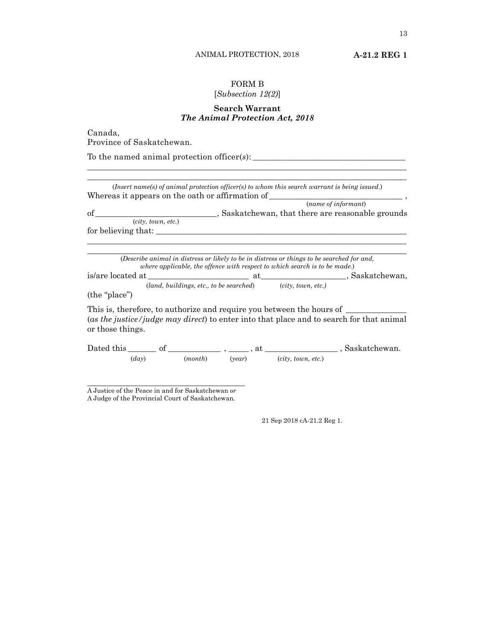### FORM B

#### [*Subsection 12(2)*]

#### **Search Warrant** *The Animal Protection Act, 2018*

\_\_\_\_\_\_\_\_\_\_\_\_\_\_\_\_\_\_\_\_\_\_\_\_\_\_\_\_\_\_\_\_\_\_\_\_\_\_\_\_\_\_\_\_\_\_\_\_\_\_\_\_\_\_\_\_\_\_\_\_\_\_\_\_\_\_\_\_\_\_\_\_\_\_\_\_\_\_\_

<span id="page-12-0"></span>Canada, Province of Saskatchewan.

To the named animal protection officer(*s*): \_\_\_\_\_\_\_\_\_\_\_\_\_\_\_\_\_\_\_\_\_\_\_\_\_\_\_\_\_\_\_\_\_\_\_\_

|                               | Whereas it appears on the oath or affirmation of                                                                                                                         |  |
|-------------------------------|--------------------------------------------------------------------------------------------------------------------------------------------------------------------------|--|
|                               | (name of informant)                                                                                                                                                      |  |
|                               |                                                                                                                                                                          |  |
|                               |                                                                                                                                                                          |  |
| for believing that:           |                                                                                                                                                                          |  |
|                               |                                                                                                                                                                          |  |
|                               | (Describe animal in distress or likely to be in distress or things to be searched for and,<br>where applicable, the offence with respect to which search is to be made.) |  |
|                               |                                                                                                                                                                          |  |
|                               | $(land, buildings, etc., to be searched)$ $(city, town, etc.)$                                                                                                           |  |
| (the "place")                 |                                                                                                                                                                          |  |
| or those things.              | This is, therefore, to authorize and require you between the hours of<br>(as the justice/judge may direct) to enter into that place and to search for that animal        |  |
| $\left( \frac{day}{} \right)$ | $(month)$ $(year)$ $(city, town, etc.)$                                                                                                                                  |  |

\_\_\_\_\_\_\_\_\_\_\_\_\_\_\_\_\_\_\_\_\_\_\_\_\_\_\_\_\_\_\_\_\_\_\_\_\_\_\_ A Justice of the Peace in and for Saskatchewan *or* A Judge of the Provincial Court of Saskatchewan.

21 Sep 2018 cA-21.2 Reg 1.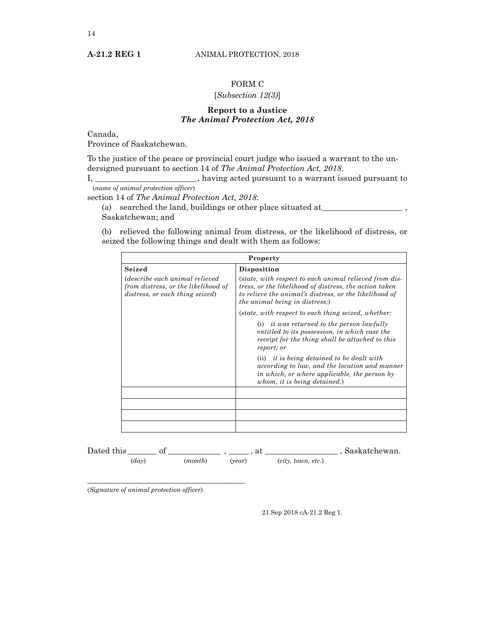#### FORM C

#### [*Subsection 12(3)*]

#### **Report to a Justice** *The Animal Protection Act, 2018*

<span id="page-13-0"></span>Canada,

Province of Saskatchewan.

To the justice of the peace or provincial court judge who issued a warrant to the undersigned pursuant to section 14 of *The Animal Protection Act, 2018*.

I, \_\_\_\_\_\_\_\_\_\_\_\_\_\_\_\_\_\_\_\_\_\_\_\_\_ , having acted pursuant to a warrant issued pursuant to

(*name of animal protection officer*)

section 14 of *The Animal Protection Act, 2018*:

(a) searched the land, buildings or other place situated at\_\_\_\_\_\_\_\_\_\_\_\_\_\_\_\_\_\_\_\_ , Saskatchewan; and

(b) relieved the following animal from distress, or the likelihood of distress, or seized the following things and dealt with them as follows:

| Property                                                                                                       |                                                                                                                                                                                                                      |  |
|----------------------------------------------------------------------------------------------------------------|----------------------------------------------------------------------------------------------------------------------------------------------------------------------------------------------------------------------|--|
| Seized                                                                                                         | Disposition                                                                                                                                                                                                          |  |
| <i>describe each animal relieved</i><br>from distress, or the likelihood of<br>distress, or each thing seized) | (state, with respect to each animal relieved from dis-<br>tress, or the likelihood of distress, the action taken<br>to relieve the animal's distress, or the likelihood of<br><i>the animal being in distress;</i> ) |  |
|                                                                                                                | (state, with respect to each thing seized, whether:                                                                                                                                                                  |  |
|                                                                                                                | (i) it was returned to the person lawfully<br>entitled to its possession, in which case the<br>receipt for the thing shall be attached to this<br>report; or                                                         |  |
|                                                                                                                | $(ii)$ it is being detained to be dealt with<br>according to law, and the location and manner<br>in which, or where applicable, the person by<br>whom, it is being detained.)                                        |  |
|                                                                                                                |                                                                                                                                                                                                                      |  |
|                                                                                                                |                                                                                                                                                                                                                      |  |
|                                                                                                                |                                                                                                                                                                                                                      |  |
|                                                                                                                |                                                                                                                                                                                                                      |  |

Dated this \_\_\_\_\_\_\_ of \_\_\_\_\_\_\_\_\_\_\_\_\_ , \_\_\_\_\_ , at \_\_\_\_\_\_\_\_\_\_\_\_\_\_\_\_\_\_ , Saskatchewan. (*day*) (*month*) (*year*) (*city, town, etc.*)

(*Signature of animal protection officer*)

\_\_\_\_\_\_\_\_\_\_\_\_\_\_\_\_\_\_\_\_\_\_\_\_\_\_\_\_\_\_\_\_\_\_\_\_\_\_\_

21 Sep 2018 cA-21.2 Reg 1.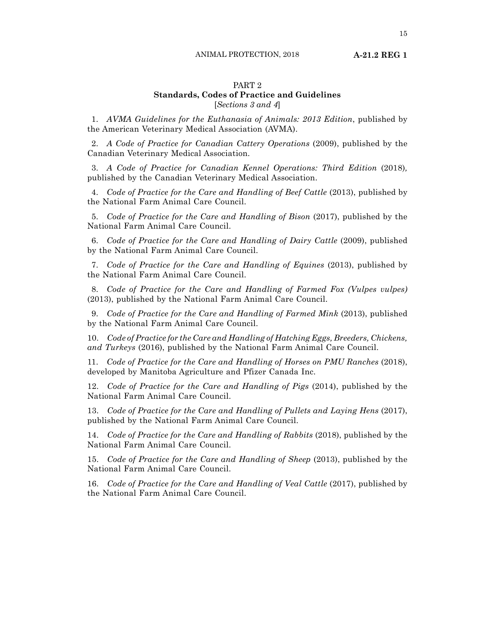#### PART 2 **Standards, Codes of Practice and Guidelines** [*Sections 3 and 4*]

1. *AVMA Guidelines for the Euthanasia of Animals: 2013 Edition*, published by the American Veterinary Medical Association (AVMA).

2. *A Code of Practice for Canadian Cattery Operations* (2009), published by the Canadian Veterinary Medical Association.

3. *A Code of Practice for Canadian Kennel Operations: Third Edition* (2018)*,*  published by the Canadian Veterinary Medical Association.

4. *Code of Practice for the Care and Handling of Beef Cattle* (2013), published by the National Farm Animal Care Council.

5. *Code of Practice for the Care and Handling of Bison* (2017), published by the National Farm Animal Care Council.

6. *Code of Practice for the Care and Handling of Dairy Cattle* (2009), published by the National Farm Animal Care Council.

7. *Code of Practice for the Care and Handling of Equines* (2013), published by the National Farm Animal Care Council.

8. *Code of Practice for the Care and Handling of Farmed Fox (Vulpes vulpes)* (2013), published by the National Farm Animal Care Council.

9. *Code of Practice for the Care and Handling of Farmed Mink* (2013), published by the National Farm Animal Care Council.

10. *Code of Practice for the Care and Handling of Hatching Eggs, Breeders, Chickens, and Turkeys* (2016), published by the National Farm Animal Care Council.

11. *Code of Practice for the Care and Handling of Horses on PMU Ranches* (2018), developed by Manitoba Agriculture and Pfizer Canada Inc.

12. *Code of Practice for the Care and Handling of Pigs* (2014), published by the National Farm Animal Care Council.

13. *Code of Practice for the Care and Handling of Pullets and Laying Hens* (2017), published by the National Farm Animal Care Council.

14. *Code of Practice for the Care and Handling of Rabbits* (2018), published by the National Farm Animal Care Council.

15. *Code of Practice for the Care and Handling of Sheep* (2013), published by the National Farm Animal Care Council.

16. *Code of Practice for the Care and Handling of Veal Cattle (2017), published by* the National Farm Animal Care Council.